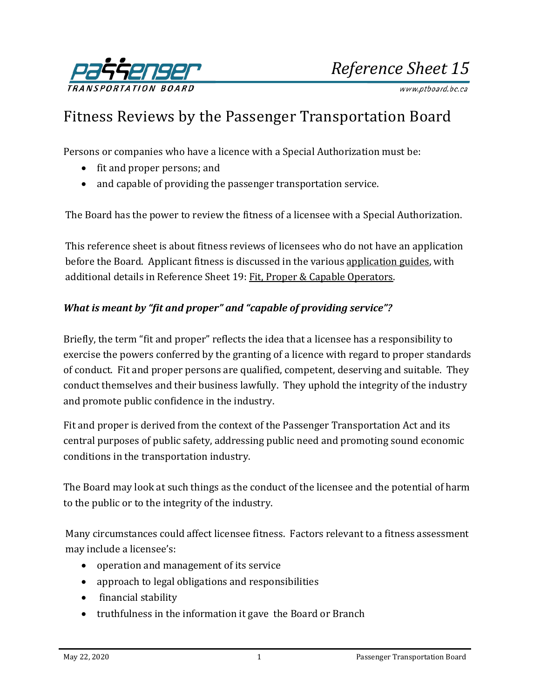

*Reference Sheet 15*

www.ptboard.bc.ca

# Fitness Reviews by the Passenger Transportation Board

Persons or companies who have a licence with a Special Authorization must be:

- fit and proper persons; and
- and capable of providing the passenger transportation service.

The Board has the power to review the fitness of a licensee with a Special Authorization.

This reference sheet is about fitness reviews of licensees who do not have an application before the Board. Applicant fitness is discussed in the various [application guides,](http://www.ptboard.bc.ca/forms.htm#tabs-1) with additional details in Reference Sheet 19[: Fit, Proper & Capable Operators.](http://www.th.gov.bc.ca/forms/getForm.aspx?formId=1358)

### *What is meant by "fit and proper" and "capable of providing service"?*

Briefly, the term "fit and proper" reflects the idea that a licensee has a responsibility to exercise the powers conferred by the granting of a licence with regard to proper standards of conduct. Fit and proper persons are qualified, competent, deserving and suitable. They conduct themselves and their business lawfully. They uphold the integrity of the industry and promote public confidence in the industry.

Fit and proper is derived from the context of the Passenger Transportation Act and its central purposes of public safety, addressing public need and promoting sound economic conditions in the transportation industry.

The Board may look at such things as the conduct of the licensee and the potential of harm to the public or to the integrity of the industry.

Many circumstances could affect licensee fitness. Factors relevant to a fitness assessment may include a licensee's:

- operation and management of its service
- approach to legal obligations and responsibilities
- financial stability
- truthfulness in the information it gave the Board or Branch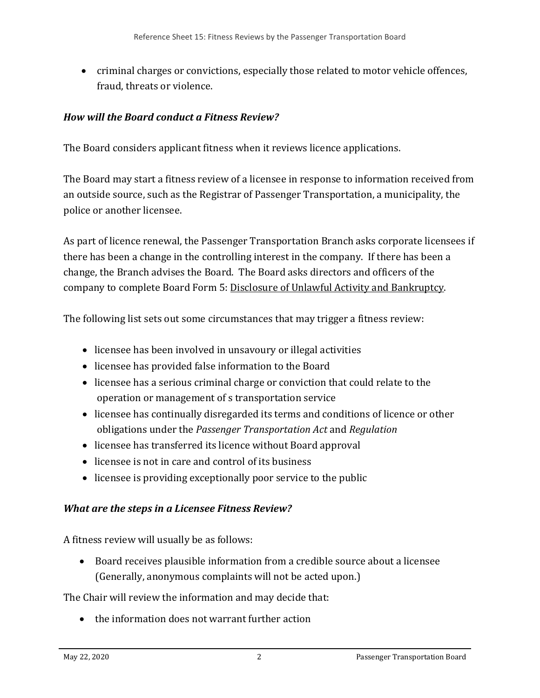• criminal charges or convictions, especially those related to motor vehicle offences, fraud, threats or violence.

## *How will the Board conduct a Fitness Review?*

The Board considers applicant fitness when it reviews licence applications.

The Board may start a fitness review of a licensee in response to information received from an outside source, such as the Registrar of Passenger Transportation, a municipality, the police or another licensee.

As part of licence renewal, the Passenger Transportation Branch asks corporate licensees if there has been a change in the controlling interest in the company. If there has been a change, the Branch advises the Board. The Board asks directors and officers of the company to complete Board Form 5: [Disclosure of Unlawful Activity and Bankruptcy.](http://www.th.gov.bc.ca/forms/getForm.aspx?formId=1208)

The following list sets out some circumstances that may trigger a fitness review:

- licensee has been involved in unsavoury or illegal activities
- licensee has provided false information to the Board
- licensee has a serious criminal charge or conviction that could relate to the operation or management of s transportation service
- licensee has continually disregarded its terms and conditions of licence or other obligations under the *Passenger Transportation Act* and *Regulation*
- licensee has transferred its licence without Board approval
- licensee is not in care and control of its business
- licensee is providing exceptionally poor service to the public

## *What are the steps in a Licensee Fitness Review?*

A fitness review will usually be as follows:

• Board receives plausible information from a credible source about a licensee (Generally, anonymous complaints will not be acted upon.)

The Chair will review the information and may decide that:

• the information does not warrant further action